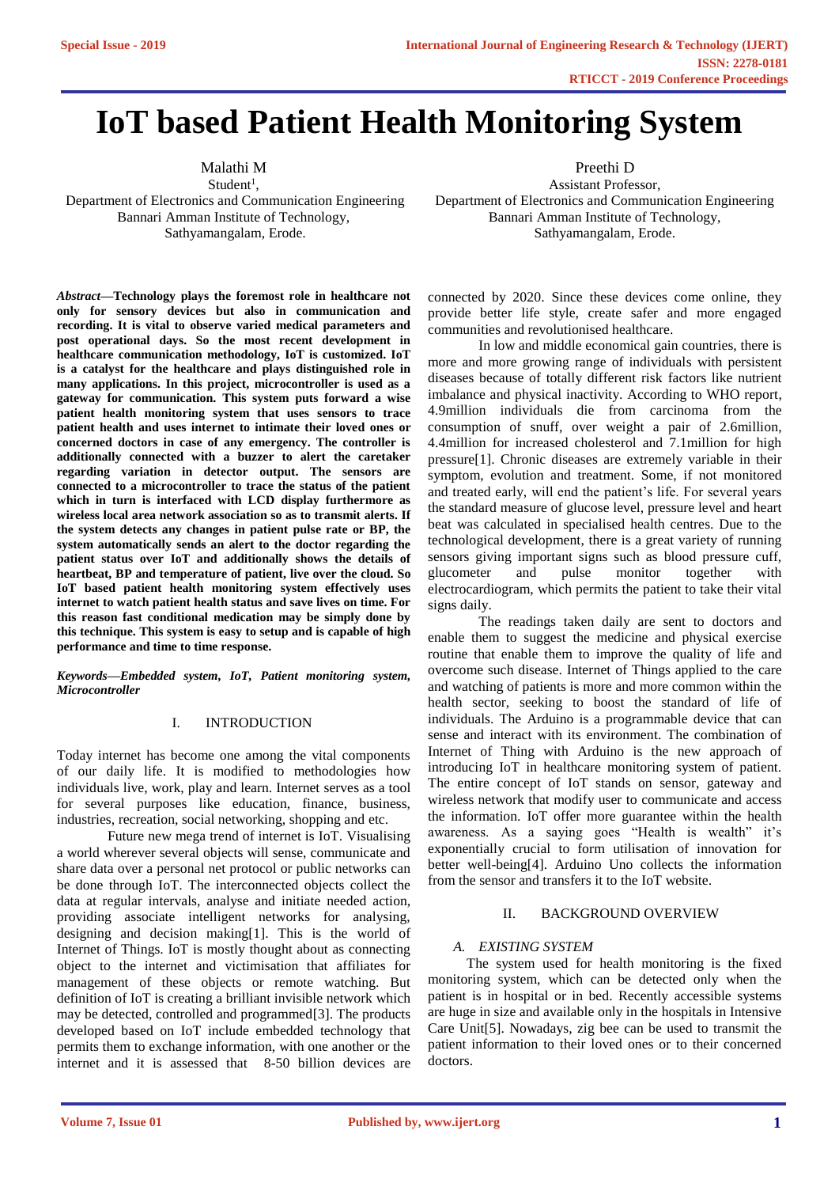# **IoT based Patient Health Monitoring System**

Malathi M

 $Student<sup>1</sup>$ , Department of Electronics and Communication Engineering Bannari Amman Institute of Technology, Sathyamangalam, Erode.

*Abstract—***Technology plays the foremost role in healthcare not only for sensory devices but also in communication and recording. It is vital to observe varied medical parameters and post operational days. So the most recent development in healthcare communication methodology, IoT is customized. IoT is a catalyst for the healthcare and plays distinguished role in many applications. In this project, microcontroller is used as a gateway for communication. This system puts forward a wise patient health monitoring system that uses sensors to trace patient health and uses internet to intimate their loved ones or concerned doctors in case of any emergency. The controller is additionally connected with a buzzer to alert the caretaker regarding variation in detector output. The sensors are connected to a microcontroller to trace the status of the patient which in turn is interfaced with LCD display furthermore as wireless local area network association so as to transmit alerts. If the system detects any changes in patient pulse rate or BP, the system automatically sends an alert to the doctor regarding the patient status over IoT and additionally shows the details of heartbeat, BP and temperature of patient, live over the cloud. So IoT based patient health monitoring system effectively uses internet to watch patient health status and save lives on time. For this reason fast conditional medication may be simply done by this technique. This system is easy to setup and is capable of high performance and time to time response.** 

*Keywords—Embedded system, IoT, Patient monitoring system, Microcontroller* 

## I. INTRODUCTION

Today internet has become one among the vital components of our daily life. It is modified to methodologies how individuals live, work, play and learn. Internet serves as a tool for several purposes like education, finance, business, industries, recreation, social networking, shopping and etc.

Future new mega trend of internet is IoT. Visualising a world wherever several objects will sense, communicate and share data over a personal net protocol or public networks can be done through IoT. The interconnected objects collect the data at regular intervals, analyse and initiate needed action, providing associate intelligent networks for analysing, designing and decision making[1]. This is the world of Internet of Things. IoT is mostly thought about as connecting object to the internet and victimisation that affiliates for management of these objects or remote watching. But definition of IoT is creating a brilliant invisible network which may be detected, controlled and programmed[3]. The products developed based on IoT include embedded technology that permits them to exchange information, with one another or the internet and it is assessed that 8-50 billion devices are Preethi D

Assistant Professor, Department of Electronics and Communication Engineering Bannari Amman Institute of Technology, Sathyamangalam, Erode.

connected by 2020. Since these devices come online, they provide better life style, create safer and more engaged communities and revolutionised healthcare.

In low and middle economical gain countries, there is more and more growing range of individuals with persistent diseases because of totally different risk factors like nutrient imbalance and physical inactivity. According to WHO report, 4.9million individuals die from carcinoma from the consumption of snuff, over weight a pair of 2.6million, 4.4million for increased cholesterol and 7.1million for high pressure[1]. Chronic diseases are extremely variable in their symptom, evolution and treatment. Some, if not monitored and treated early, will end the patient's life. For several years the standard measure of glucose level, pressure level and heart beat was calculated in specialised health centres. Due to the technological development, there is a great variety of running sensors giving important signs such as blood pressure cuff, glucometer and pulse monitor together with electrocardiogram, which permits the patient to take their vital signs daily.

The readings taken daily are sent to doctors and enable them to suggest the medicine and physical exercise routine that enable them to improve the quality of life and overcome such disease. Internet of Things applied to the care and watching of patients is more and more common within the health sector, seeking to boost the standard of life of individuals. The Arduino is a programmable device that can sense and interact with its environment. The combination of Internet of Thing with Arduino is the new approach of introducing IoT in healthcare monitoring system of patient. The entire concept of IoT stands on sensor, gateway and wireless network that modify user to communicate and access the information. IoT offer more guarantee within the health awareness. As a saying goes "Health is wealth" it's exponentially crucial to form utilisation of innovation for better well-being[4]. Arduino Uno collects the information from the sensor and transfers it to the IoT website.

## II. BACKGROUND OVERVIEW

## *A. EXISTING SYSTEM*

 The system used for health monitoring is the fixed monitoring system, which can be detected only when the patient is in hospital or in bed. Recently accessible systems are huge in size and available only in the hospitals in Intensive Care Unit[5]. Nowadays, zig bee can be used to transmit the patient information to their loved ones or to their concerned doctors.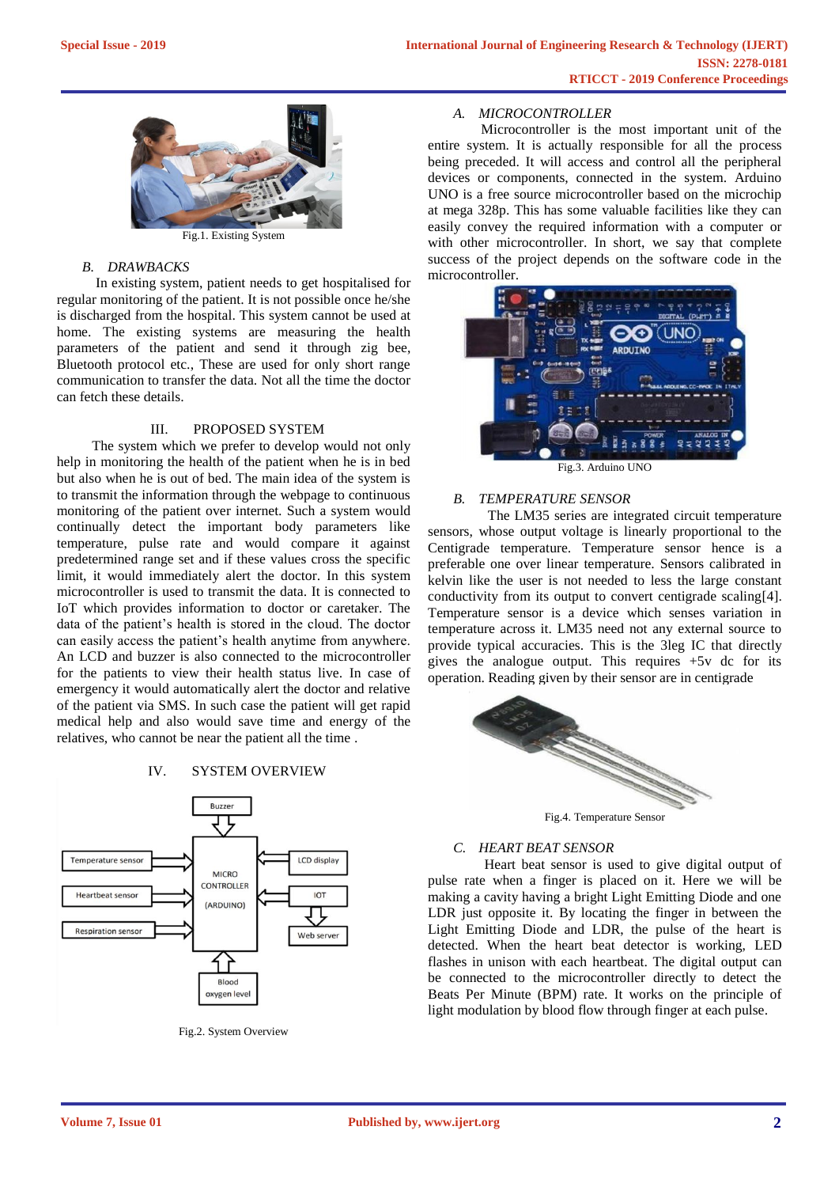

Fig.1. Existing System

## *B. DRAWBACKS*

 In existing system, patient needs to get hospitalised for regular monitoring of the patient. It is not possible once he/she is discharged from the hospital. This system cannot be used at home. The existing systems are measuring the health parameters of the patient and send it through zig bee, Bluetooth protocol etc., These are used for only short range communication to transfer the data. Not all the time the doctor can fetch these details.

## III. PROPOSED SYSTEM

 The system which we prefer to develop would not only help in monitoring the health of the patient when he is in bed but also when he is out of bed. The main idea of the system is to transmit the information through the webpage to continuous monitoring of the patient over internet. Such a system would continually detect the important body parameters like temperature, pulse rate and would compare it against predetermined range set and if these values cross the specific limit, it would immediately alert the doctor. In this system microcontroller is used to transmit the data. It is connected to IoT which provides information to doctor or caretaker. The data of the patient's health is stored in the cloud. The doctor can easily access the patient's health anytime from anywhere. An LCD and buzzer is also connected to the microcontroller for the patients to view their health status live. In case of emergency it would automatically alert the doctor and relative of the patient via SMS. In such case the patient will get rapid medical help and also would save time and energy of the relatives, who cannot be near the patient all the time .

## IV. SYSTEM OVERVIEW



Fig.2. System Overview

## *A. MICROCONTROLLER*

 Microcontroller is the most important unit of the entire system. It is actually responsible for all the process being preceded. It will access and control all the peripheral devices or components, connected in the system. Arduino UNO is a free source microcontroller based on the microchip at mega 328p. This has some valuable facilities like they can easily convey the required information with a computer or with other microcontroller. In short, we say that complete success of the project depends on the software code in the microcontroller.



Fig.3. Arduino UNO

## *B. TEMPERATURE SENSOR*

 The LM35 series are integrated circuit temperature sensors, whose output voltage is linearly proportional to the Centigrade temperature. Temperature sensor hence is a preferable one over linear temperature. Sensors calibrated in kelvin like the user is not needed to less the large constant conductivity from its output to convert centigrade scaling[4]. Temperature sensor is a device which senses variation in temperature across it. LM35 need not any external source to provide typical accuracies. This is the 3leg IC that directly gives the analogue output. This requires  $+5v$  dc for its operation. Reading given by their sensor are in centigrade



Fig.4. Temperature Sensor

## *C. HEART BEAT SENSOR*

 Heart beat sensor is used to give digital output of pulse rate when a finger is placed on it. Here we will be making a cavity having a bright Light Emitting Diode and one LDR just opposite it. By locating the finger in between the Light Emitting Diode and LDR, the pulse of the heart is detected. When the heart beat detector is working, LED flashes in unison with each heartbeat. The digital output can be connected to the microcontroller directly to detect the Beats Per Minute (BPM) rate. It works on the principle of light modulation by blood flow through finger at each pulse.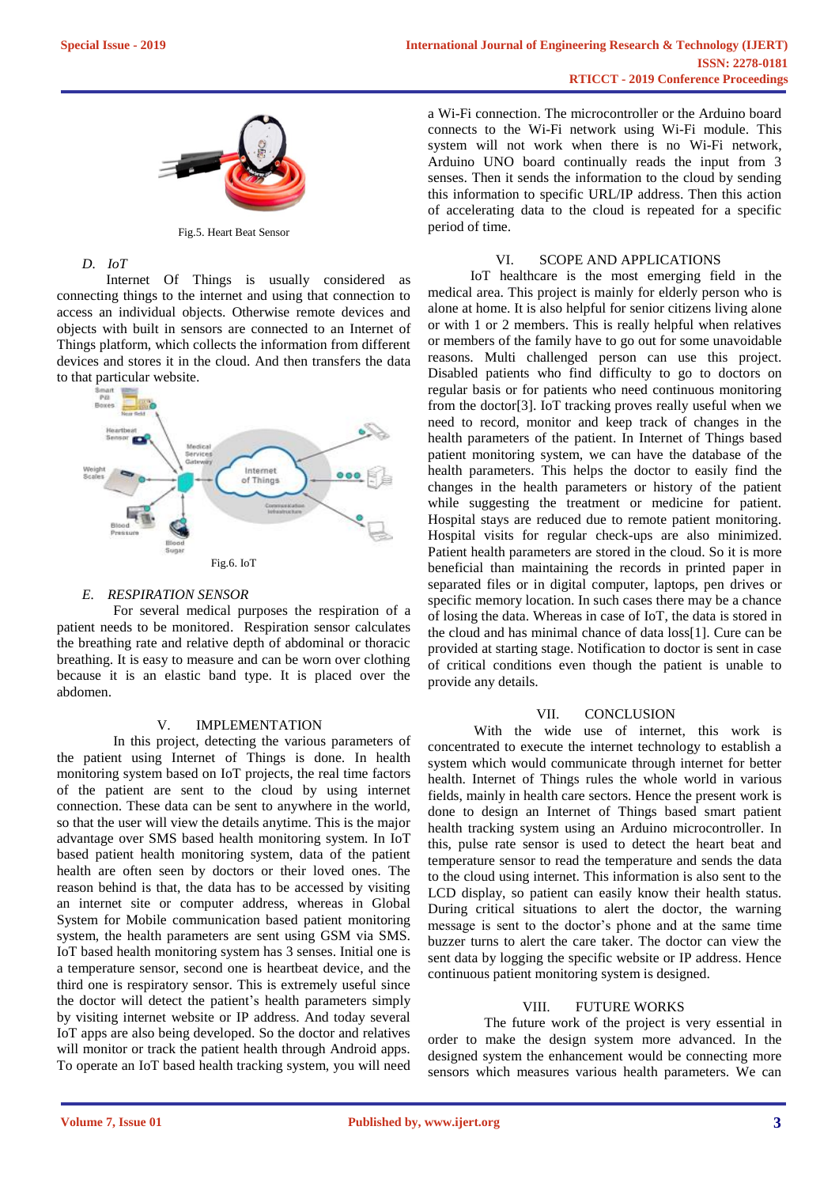

Fig.5. Heart Beat Sensor

## *D. IoT*

 Internet Of Things is usually considered as connecting things to the internet and using that connection to access an individual objects. Otherwise remote devices and objects with built in sensors are connected to an Internet of Things platform, which collects the information from different devices and stores it in the cloud. And then transfers the data to that particular website.



## *E. RESPIRATION SENSOR*

 For several medical purposes the respiration of a patient needs to be monitored. Respiration sensor calculates the breathing rate and relative depth of abdominal or thoracic breathing. It is easy to measure and can be worn over clothing because it is an elastic band type. It is placed over the abdomen.

#### V. IMPLEMENTATION

 In this project, detecting the various parameters of the patient using Internet of Things is done. In health monitoring system based on IoT projects, the real time factors of the patient are sent to the cloud by using internet connection. These data can be sent to anywhere in the world, so that the user will view the details anytime. This is the major advantage over SMS based health monitoring system. In IoT based patient health monitoring system, data of the patient health are often seen by doctors or their loved ones. The reason behind is that, the data has to be accessed by visiting an internet site or computer address, whereas in Global System for Mobile communication based patient monitoring system, the health parameters are sent using GSM via SMS. IoT based health monitoring system has 3 senses. Initial one is a temperature sensor, second one is heartbeat device, and the third one is respiratory sensor. This is extremely useful since the doctor will detect the patient's health parameters simply by visiting internet website or IP address. And today several IoT apps are also being developed. So the doctor and relatives will monitor or track the patient health through Android apps. To operate an IoT based health tracking system, you will need a Wi-Fi connection. The microcontroller or the Arduino board connects to the Wi-Fi network using Wi-Fi module. This system will not work when there is no Wi-Fi network, Arduino UNO board continually reads the input from 3 senses. Then it sends the information to the cloud by sending this information to specific URL/IP address. Then this action of accelerating data to the cloud is repeated for a specific period of time.

## VI. SCOPE AND APPLICATIONS

 IoT healthcare is the most emerging field in the medical area. This project is mainly for elderly person who is alone at home. It is also helpful for senior citizens living alone or with 1 or 2 members. This is really helpful when relatives or members of the family have to go out for some unavoidable reasons. Multi challenged person can use this project. Disabled patients who find difficulty to go to doctors on regular basis or for patients who need continuous monitoring from the doctor[3]. IoT tracking proves really useful when we need to record, monitor and keep track of changes in the health parameters of the patient. In Internet of Things based patient monitoring system, we can have the database of the health parameters. This helps the doctor to easily find the changes in the health parameters or history of the patient while suggesting the treatment or medicine for patient. Hospital stays are reduced due to remote patient monitoring. Hospital visits for regular check-ups are also minimized. Patient health parameters are stored in the cloud. So it is more beneficial than maintaining the records in printed paper in separated files or in digital computer, laptops, pen drives or specific memory location. In such cases there may be a chance of losing the data. Whereas in case of IoT, the data is stored in the cloud and has minimal chance of data loss[1]. Cure can be provided at starting stage. Notification to doctor is sent in case of critical conditions even though the patient is unable to provide any details.

## VII. CONCLUSION

 With the wide use of internet, this work is concentrated to execute the internet technology to establish a system which would communicate through internet for better health. Internet of Things rules the whole world in various fields, mainly in health care sectors. Hence the present work is done to design an Internet of Things based smart patient health tracking system using an Arduino microcontroller. In this, pulse rate sensor is used to detect the heart beat and temperature sensor to read the temperature and sends the data to the cloud using internet. This information is also sent to the LCD display, so patient can easily know their health status. During critical situations to alert the doctor, the warning message is sent to the doctor's phone and at the same time buzzer turns to alert the care taker. The doctor can view the sent data by logging the specific website or IP address. Hence continuous patient monitoring system is designed.

#### VIII. FUTURE WORKS

 The future work of the project is very essential in order to make the design system more advanced. In the designed system the enhancement would be connecting more sensors which measures various health parameters. We can